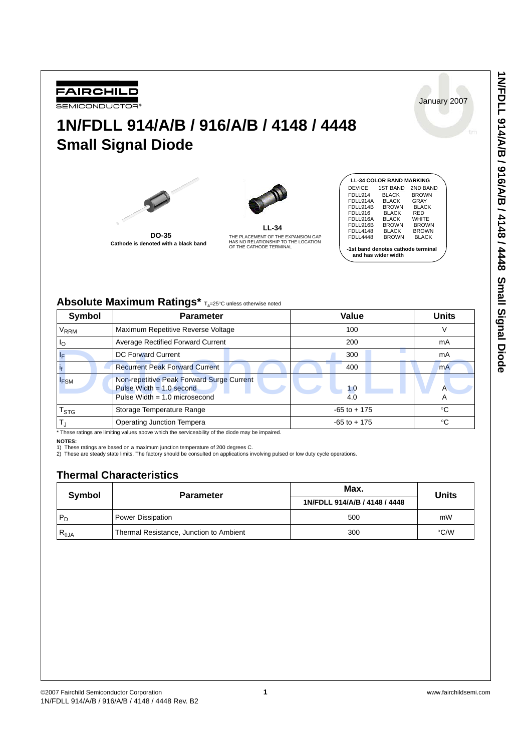**1N/FDLL 914/A/B / 916/A/B / 4148 / 4448 Small Signal Diode**





FAIRCHILD **SEMICONDUCTOR®** 

**DO-35 Cathode is denoted with a black band** 

| LL-34                                                                     |
|---------------------------------------------------------------------------|
| THE PLACEMENT OF THE EXPANSION GAP<br>HAS NO RELATIONSHIP TO THE LOCATION |
| OF THE CATHODE TERMINAL                                                   |

|                                    | <b>LL-34 COLOR BAND MARKING</b> |              |  |  |
|------------------------------------|---------------------------------|--------------|--|--|
| DEVICE                             | <b>1ST BAND</b>                 | 2ND BAND     |  |  |
| FDLL914                            | <b>BLACK</b>                    | <b>BROWN</b> |  |  |
| FDLL914A                           | <b>BLACK</b>                    | GRAY         |  |  |
| FDLL914B                           | <b>BROWN</b>                    | <b>BLACK</b> |  |  |
| FDLL916                            | <b>BLACK</b>                    | <b>RED</b>   |  |  |
| FDLL916A                           | <b>BLACK</b>                    | WHITE        |  |  |
| FDLL916B                           | <b>BROWN</b>                    | <b>BROWN</b> |  |  |
| <b>FDLL4148</b>                    | <b>BLACK</b>                    | <b>BROWN</b> |  |  |
| <b>FDLL4448</b>                    | <b>BROWN</b>                    | <b>BLACK</b> |  |  |
| -1st band denotes cathode terminal |                                 |              |  |  |

**-1st band denotes cathode terminal and has wider width**

# Absolute Maximum Ratings\*  $T_a=25^\circ C$  unless otherwise noted

| Symbol                                                                                           | <b>Parameter</b>                                                                                           | Value           | <b>Units</b> |  |
|--------------------------------------------------------------------------------------------------|------------------------------------------------------------------------------------------------------------|-----------------|--------------|--|
| $V_{RRM}$                                                                                        | Maximum Repetitive Reverse Voltage                                                                         | 100             |              |  |
| ΙO                                                                                               | Average Rectified Forward Current                                                                          | 200             | mA           |  |
| ΙF                                                                                               | DC Forward Current                                                                                         | 300             | mA           |  |
|                                                                                                  | <b>Recurrent Peak Forward Current</b>                                                                      | 400             | <b>mA</b>    |  |
| $I_{FSM}$                                                                                        | Non-repetitive Peak Forward Surge Current<br>Pulse Width $= 1.0$ second<br>Pulse Width = $1.0$ microsecond | 1.0<br>4.0      | А            |  |
| $\mathsf{T}_{\textsf{STG}}$                                                                      | Storage Temperature Range                                                                                  | $-65$ to $+175$ | ∘C           |  |
| $\mathsf{T}_{\text{d}}$                                                                          | Operating Junction Tempera                                                                                 | $-65$ to $+175$ | °C           |  |
| * These ratings are limiting values above which the serviceability of the diode may be impaired. |                                                                                                            |                 |              |  |

**NOTES:**

1) These ratings are based on a maximum junction temperature of 200 degrees C. 2) These are steady state limits. The factory should be consulted on applications involving pulsed or low duty cycle operations.

## **Thermal Characteristics**

| Symbol          | <b>Parameter</b>                        | Max.                          | Units |  |
|-----------------|-----------------------------------------|-------------------------------|-------|--|
|                 |                                         | 1N/FDLL 914/A/B / 4148 / 4448 |       |  |
| $P_D$           | Power Dissipation                       | 500                           | mW    |  |
| $R_{\theta JA}$ | Thermal Resistance, Junction to Ambient | 300                           | °C/W  |  |



January 2007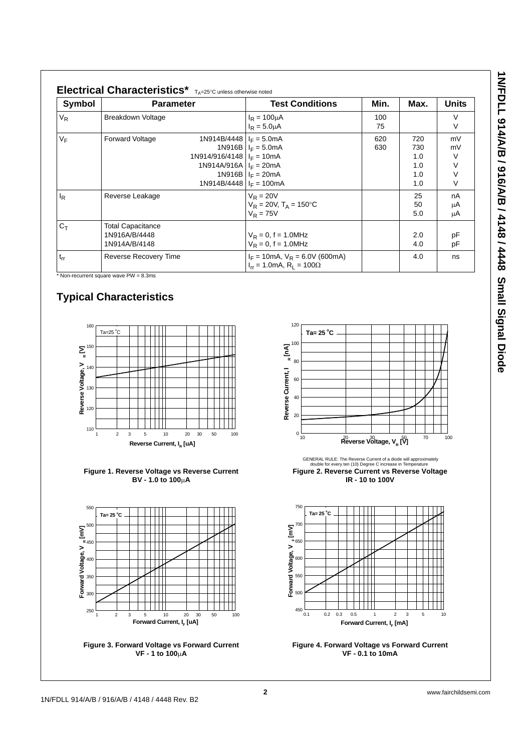| ここ ストーく                  |
|--------------------------|
|                          |
|                          |
|                          |
|                          |
| ,<br>J                   |
|                          |
|                          |
|                          |
| $\frac{1}{2}$            |
| į                        |
| ã                        |
|                          |
| - 141                    |
|                          |
| $\overline{\phantom{a}}$ |
|                          |
| $\frac{1}{2}$            |
| Ï                        |
|                          |
|                          |
|                          |
|                          |
|                          |
|                          |
|                          |
| ı                        |
|                          |
|                          |
|                          |
|                          |
|                          |
| יוומוו הואוומו האוה וומח |

 $\overline{\phantom{a}}$ 

| Symbol   | <b>Parameter</b>                                           |                                                                                                                    | <b>Test Conditions</b>                                                                            | Min.       | Max.                                   | <b>Units</b>                 |
|----------|------------------------------------------------------------|--------------------------------------------------------------------------------------------------------------------|---------------------------------------------------------------------------------------------------|------------|----------------------------------------|------------------------------|
| $V_R$    | Breakdown Voltage                                          |                                                                                                                    | $I_R = 100 \mu A$<br>$I_R = 5.0 \mu A$                                                            | 100<br>75  |                                        | V<br>V                       |
| $V_F$    | <b>Forward Voltage</b>                                     | 1N914B/4448 $I_F = 5.0$ mA<br>1N914/916/4148 $I_F = 10mA$<br>1N914A/916A $I_F = 20mA$<br>1N914B/4448 $I_F = 100mA$ | 1N916B $I_F = 5.0$ mA<br>1N916B $I_F = 20mA$                                                      | 620<br>630 | 720<br>730<br>1.0<br>1.0<br>1.0<br>1.0 | mV<br>mV<br>V<br>V<br>V<br>V |
| $I_R$    | Reverse Leakage                                            |                                                                                                                    | $V_R = 20V$<br>$V_R = 20V$ , $T_A = 150^{\circ}C$<br>$V_R = 75V$                                  |            | 25<br>50<br>5.0                        | nA<br>μA<br>μA               |
| $C_T$    | <b>Total Capacitance</b><br>1N916A/B/4448<br>1N914A/B/4148 |                                                                                                                    | $V_R = 0$ , f = 1.0MHz<br>$V_R = 0$ , f = 1.0MHz                                                  |            | 2.0<br>4.0                             | pF<br>pF                     |
| $t_{rr}$ | Reverse Recovery Time                                      |                                                                                                                    | $I_F = 10 \text{mA}$ , $V_R = 6.0 \text{V}$ (600mA)<br>$I_{rr} = 1.0 \text{mA}, R_1 = 100 \Omega$ |            | 4.0                                    | ns                           |

Non-recurrent square wave  $PW = 8.3$ ms

# **Typical Characteristics**











**Figure 2. Reverse Current vs Reverse Voltage IR - 10 to 100V** GENERAL RULE: The Reverse Current of a diode will approximately double for every ten (10) Degree C increase in Temperature



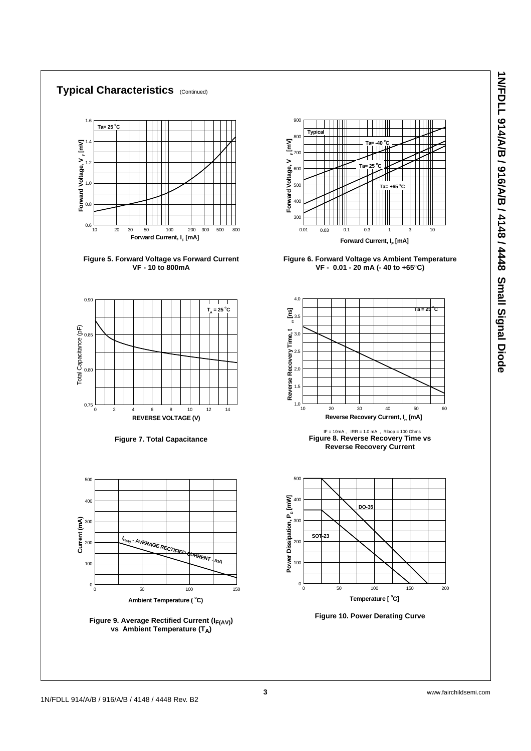### **Typical Characteristics** (Continued)















**Figure 6. Forward Voltage vs Ambient Temperature VF - 0.01 - 20 mA (- 40 to +65**°**C)**







**Figure 10. Power Derating Curve**